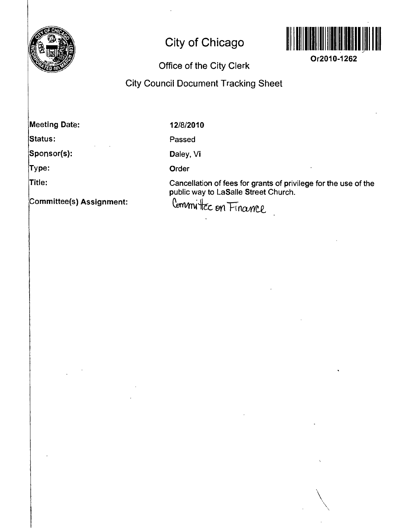

## **City of Chicago**



**Or2010-1262** 

*\* 

## **Office of the City Clerk<br>City Council Document Tracking Sheet**

**Meeting Date:** 

**12/8/2010** 

**Passed** 

**Sponsor{s):** 

**Type:** 

**Status:** 

**Title:** 

**Committee{s) Assignment:** 

**Daley, Vi** 

**Order** 

**Cancellation of fees for grants of privilege for the use of the public way to LaSalle Street Church.**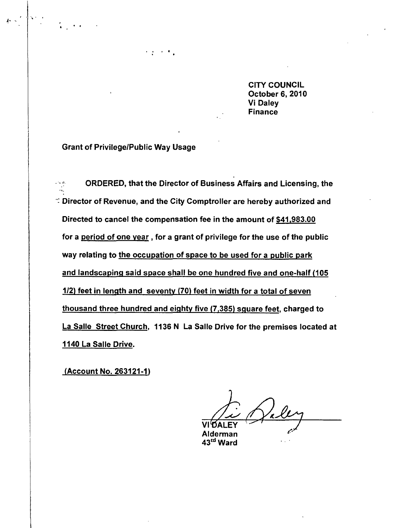**CITY COUNCIL October 6, 2010 Vi Daley Finance** 

**Grant of Privilege/Public Way Usage** 

**ORDERED, that the Director of Business Affairs and Licensing, the**   $\sim$ e. **Director of Revenue, and the City Comptroller are hereby authorized and Directed to cancel the compensation fee in the amount of \$41,983.00 for a period of one year, for a grant of privilege for the use of the public way relating to the occupation of space to be used for a public park and landscaping said space shall be one hundred five and one-half (105 1/2) feet in length and seventy (70) feet in width for a total of seven thousand three hundred and eighty five (7,385) sguare feet, charged to La Salle Street Church. 1136 N La Salle Drive for the premises located at 1140 La Salle Drive.** 

**(Account No. 263121-1)** 

**VltJALEY Alderman** 

**43''\* Ward**